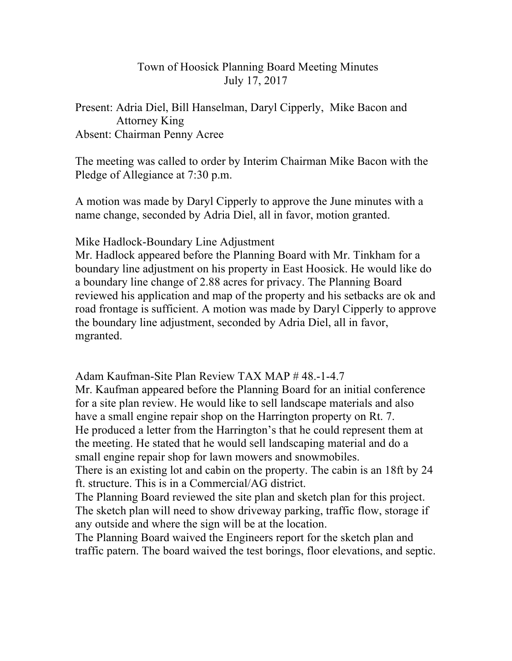## Town of Hoosick Planning Board Meeting Minutes July 17, 2017

Present: Adria Diel, Bill Hanselman, Daryl Cipperly, Mike Bacon and Attorney King Absent: Chairman Penny Acree

The meeting was called to order by Interim Chairman Mike Bacon with the Pledge of Allegiance at 7:30 p.m.

A motion was made by Daryl Cipperly to approve the June minutes with a name change, seconded by Adria Diel, all in favor, motion granted.

Mike Hadlock-Boundary Line Adjustment

Mr. Hadlock appeared before the Planning Board with Mr. Tinkham for a boundary line adjustment on his property in East Hoosick. He would like do a boundary line change of 2.88 acres for privacy. The Planning Board reviewed his application and map of the property and his setbacks are ok and road frontage is sufficient. A motion was made by Daryl Cipperly to approve the boundary line adjustment, seconded by Adria Diel, all in favor, mgranted.

Adam Kaufman-Site Plan Review TAX MAP # 48.-1-4.7 Mr. Kaufman appeared before the Planning Board for an initial conference for a site plan review. He would like to sell landscape materials and also have a small engine repair shop on the Harrington property on Rt. 7. He produced a letter from the Harrington's that he could represent them at the meeting. He stated that he would sell landscaping material and do a small engine repair shop for lawn mowers and snowmobiles.

There is an existing lot and cabin on the property. The cabin is an 18ft by 24 ft. structure. This is in a Commercial/AG district.

The Planning Board reviewed the site plan and sketch plan for this project. The sketch plan will need to show driveway parking, traffic flow, storage if any outside and where the sign will be at the location.

The Planning Board waived the Engineers report for the sketch plan and traffic patern. The board waived the test borings, floor elevations, and septic.